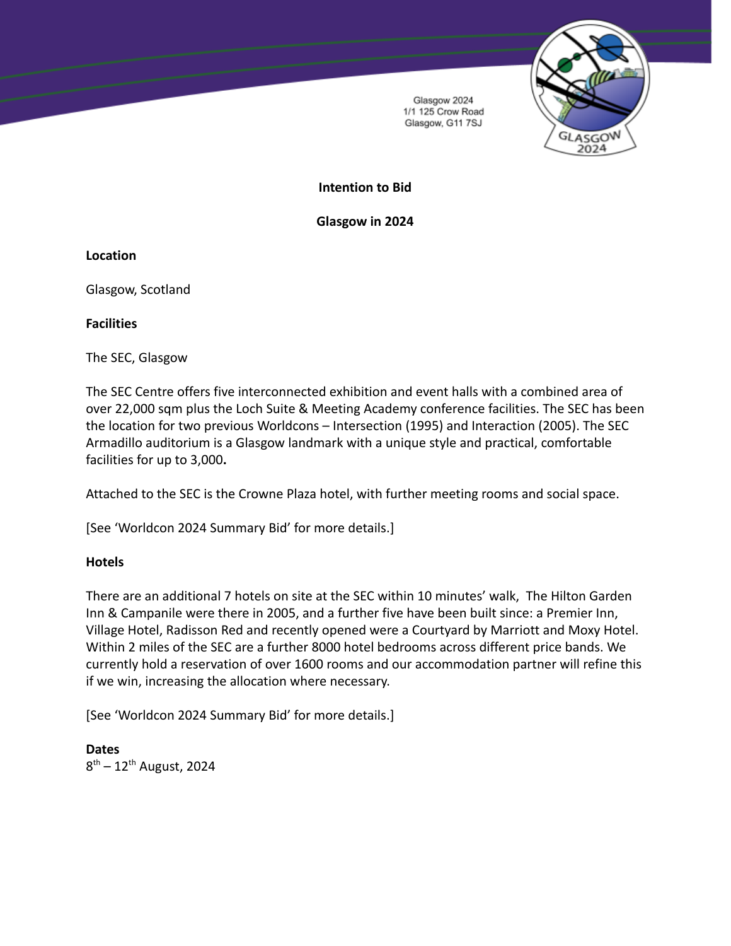

Glasgow 2024 1/1 125 Crow Road Glasgow, G11 7SJ

# **Intention to Bid**

**Glasgow in 2024**

**Location**

Glasgow, Scotland

**Facilities**

The SEC, Glasgow

The SEC Centre offers five interconnected exhibition and event halls with a combined area of over 22,000 sqm plus the Loch Suite & Meeting Academy conference facilities. The SEC has been the location for two previous Worldcons – Intersection (1995) and Interaction (2005). The SEC Armadillo auditorium is a Glasgow landmark with a unique style and practical, comfortable facilities for up to 3,000**.**

Attached to the SEC is the Crowne Plaza hotel, with further meeting rooms and social space.

[See 'Worldcon 2024 Summary Bid' for more details.]

## **Hotels**

There are an additional 7 hotels on site at the SEC within 10 minutes' walk, The Hilton Garden Inn & Campanile were there in 2005, and a further five have been built since: a Premier Inn, Village Hotel, Radisson Red and recently opened were a Courtyard by Marriott and Moxy Hotel. Within 2 miles of the SEC are a further 8000 hotel bedrooms across different price bands. We currently hold a reservation of over 1600 rooms and our accommodation partner will refine this if we win, increasing the allocation where necessary.

[See 'Worldcon 2024 Summary Bid' for more details.]

**Dates** 8<sup>th</sup> – 12<sup>th</sup> August, 2024